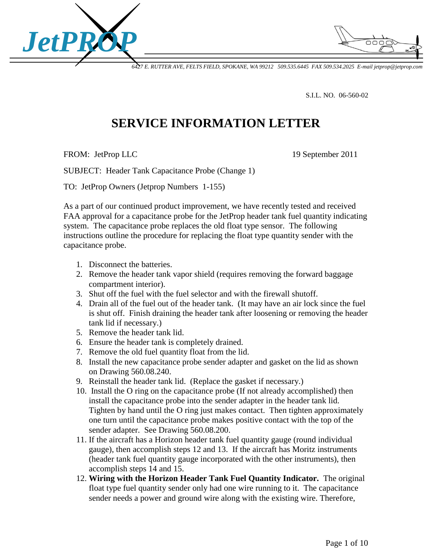

*6427 E. RUTTER AVE, FELTS FIELD, SPOKANE, WA 99212 509.535.6445 FAX 509.534.2025 E-mail jetprop@jetprop.com*

S.I.L. NO. 06-560-02

## **SERVICE INFORMATION LETTER**

FROM: JetProp LLC 19 September 2011

SUBJECT: Header Tank Capacitance Probe (Change 1)

TO: JetProp Owners (Jetprop Numbers 1-155)

As a part of our continued product improvement, we have recently tested and received FAA approval for a capacitance probe for the JetProp header tank fuel quantity indicating system. The capacitance probe replaces the old float type sensor. The following instructions outline the procedure for replacing the float type quantity sender with the capacitance probe.

- 1. Disconnect the batteries.
- 2. Remove the header tank vapor shield (requires removing the forward baggage compartment interior).
- 3. Shut off the fuel with the fuel selector and with the firewall shutoff.
- 4. Drain all of the fuel out of the header tank. (It may have an air lock since the fuel is shut off. Finish draining the header tank after loosening or removing the header tank lid if necessary.)
- 5. Remove the header tank lid.
- 6. Ensure the header tank is completely drained.
- 7. Remove the old fuel quantity float from the lid.
- 8. Install the new capacitance probe sender adapter and gasket on the lid as shown on Drawing 560.08.240.
- 9. Reinstall the header tank lid. (Replace the gasket if necessary.)
- 10. Install the O ring on the capacitance probe (If not already accomplished) then install the capacitance probe into the sender adapter in the header tank lid. Tighten by hand until the O ring just makes contact. Then tighten approximately one turn until the capacitance probe makes positive contact with the top of the sender adapter. See Drawing 560.08.200.
- 11. If the aircraft has a Horizon header tank fuel quantity gauge (round individual gauge), then accomplish steps 12 and 13. If the aircraft has Moritz instruments (header tank fuel quantity gauge incorporated with the other instruments), then accomplish steps 14 and 15.
- 12. **Wiring with the Horizon Header Tank Fuel Quantity Indicator.** The original float type fuel quantity sender only had one wire running to it. The capacitance sender needs a power and ground wire along with the existing wire. Therefore,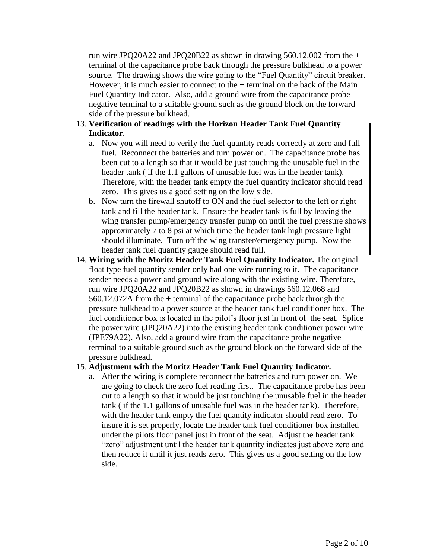run wire JPO20A22 and JPO20B22 as shown in drawing  $560.12.002$  from the  $+$ terminal of the capacitance probe back through the pressure bulkhead to a power source. The drawing shows the wire going to the "Fuel Quantity" circuit breaker. However, it is much easier to connect to the  $+$  terminal on the back of the Main Fuel Quantity Indicator. Also, add a ground wire from the capacitance probe negative terminal to a suitable ground such as the ground block on the forward side of the pressure bulkhead.

## 13. **Verification of readings with the Horizon Header Tank Fuel Quantity Indicator**.

- a. Now you will need to verify the fuel quantity reads correctly at zero and full fuel. Reconnect the batteries and turn power on. The capacitance probe has been cut to a length so that it would be just touching the unusable fuel in the header tank ( if the 1.1 gallons of unusable fuel was in the header tank). Therefore, with the header tank empty the fuel quantity indicator should read zero. This gives us a good setting on the low side.
- b. Now turn the firewall shutoff to ON and the fuel selector to the left or right tank and fill the header tank. Ensure the header tank is full by leaving the wing transfer pump/emergency transfer pump on until the fuel pressure shows approximately 7 to 8 psi at which time the header tank high pressure light should illuminate. Turn off the wing transfer/emergency pump. Now the header tank fuel quantity gauge should read full.
- 14. **Wiring with the Moritz Header Tank Fuel Quantity Indicator.** The original float type fuel quantity sender only had one wire running to it. The capacitance sender needs a power and ground wire along with the existing wire. Therefore, run wire JPQ20A22 and JPQ20B22 as shown in drawings 560.12.068 and 560.12.072A from the + terminal of the capacitance probe back through the pressure bulkhead to a power source at the header tank fuel conditioner box. The fuel conditioner box is located in the pilot's floor just in front of the seat. Splice the power wire (JPQ20A22) into the existing header tank conditioner power wire (JPE79A22). Also, add a ground wire from the capacitance probe negative terminal to a suitable ground such as the ground block on the forward side of the pressure bulkhead.

## 15. **Adjustment with the Moritz Header Tank Fuel Quantity Indicator.**

a. After the wiring is complete reconnect the batteries and turn power on. We are going to check the zero fuel reading first. The capacitance probe has been cut to a length so that it would be just touching the unusable fuel in the header tank ( if the 1.1 gallons of unusable fuel was in the header tank). Therefore, with the header tank empty the fuel quantity indicator should read zero. To insure it is set properly, locate the header tank fuel conditioner box installed under the pilots floor panel just in front of the seat. Adjust the header tank "zero" adjustment until the header tank quantity indicates just above zero and then reduce it until it just reads zero. This gives us a good setting on the low side.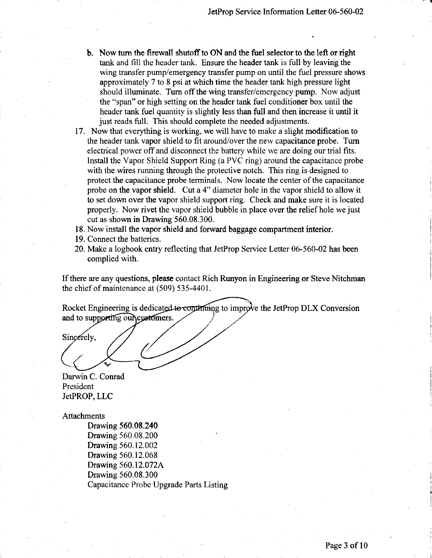- b. Now tum the firewall shutoffto ON and the fuel selector to the left or right tank and fill the header tank. Ensure the header tank is full by leaving the wing transfer pump/emergency transfer pump on until the fuel pressure shows approximately 7to 8 psi at which time the header tank high pressure light should illuminate. Turn off the wing transfer/emergency pump. Now adjust the "span" or high setting on the header tank fuel conditioner box until the header tank fuel quantity is slightly less than full and then increase it until it just reads full. This should complete the needed adjustments.
- 17. Now that everything is working, we will have to make a slight modification to the header tank vapor shield to fit around/over the new capacitance probe. Tum electrical power off and disconnect the battery while we are doing our trial fits. Install the Vapor Shield Support Ring (a PVC ring) around the capacitance probe with the wires running through the protective notch. This ring is designed to protect the capacitance probe terminals. Now locate the center of the capacitance ' probe on the vapor shield. Cut a 4" diameter hole in the vapor shield to allow it to set down over the vapor shield support ring. Check and make sure it is located properly. Now rivet the vapor shield bubble in place over the relief hole we just cut as shown in Drawing 560.08.300.
- 18. Now install the vapor shield and forward baggage compartment interior.
- 19. Connect the batteries.
- 20. Make a logbook entry reflecting that JetProp Service Letter 06-560-02 has been complied with.

If there are any questions, please contact Rich Runyon in Engineering or Steve Nitchman the chief of maintenance at (509) 535-4401.

Rocket Engineering is dedicated to continuing to improve the JetProp DLX Conversion and to supporting our customers.

Sincerely,

Darwin C. Conrad President JetPROP, LLC

Attachments

Drawing 560.08.240 Drawing 560.08.200 Drawing 560.12.002 Drawing 560.12.068 Drawing 560.12.072A Drawing 560.08.300 Capacitance Probe Upgrade Parts Listing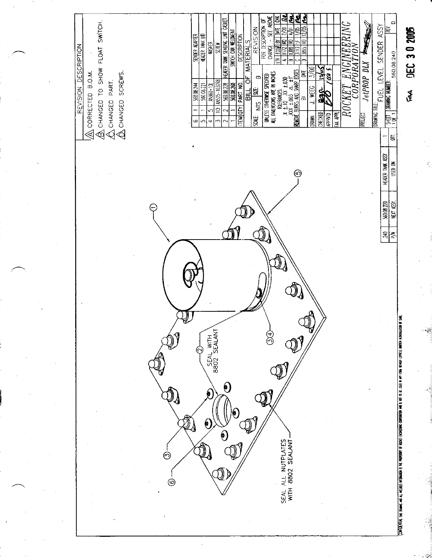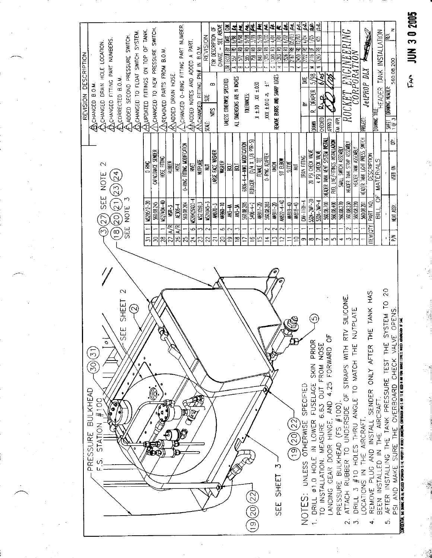| REVISION DESCRIPTION<br><b>BOHANGED BOM</b> | ANGED FITTING PART NUMBERS<br>COHANGED DRAIN HOLE LOCATION.<br>$\sim$<br>(21)(23)(24)<br>SEE NOTE<br><u>ලි</u><br>77<br><u>ල</u><br>ප | CHANGED TO FLOAT SWITCH SYSTEM.<br>ANDDED SECOND PRESSURE SWITCH.<br><b>ACCORRECTED B.O.M.</b><br>NOTE<br>닚 | ANGED TO NEW PRESSURE SWITCH.<br>ANDPOATED FITTINGS ON TOP OF TANK.<br>CAPACITANCE SENDER<br>S BNC<br>K629512-20<br>560.08.245<br>5<br>8 | AREMOVED PARTS FROM B.O.M.<br>ANDDED DRAIN HOSE<br>HOSE FITING<br><b>RUBBER</b><br>U2-101-25N<br>\MR-3<br>R<br>≦<br>28<br>27 | ANCHANGED O-RING FITTING PART NUMBER.<br>O-RING FITTING MODIFICATION<br>Š<br>500.08.204<br><b>A</b> 306-4<br>A/R<br>$\frac{8}{2}$<br>25 | REVISION<br>$\Delta\Lambda$ ADDED NOTES AND ADDED A PART.<br>CHANGED FITING PN# IN B.O.M<br><b>NUPLATE</b><br>Ş<br>MS20426A03-4<br>US21059L3<br>Ф<br>$\mathfrak{p}$<br>23 | CHANGE - SEE ABONE<br>FOR DESCRIPTION OF<br>œ<br>SË.<br>š<br>SCHE:<br><b>URCE FACE WASHER</b><br>WISHER<br>ş<br>US21045-3<br><b>AN970-3</b><br>22<br>ಸ | j.<br>ξg<br>阎<br>£<br>ico)<br>Ç,<br>$\cong$<br>ALL DIMENSIONS ARE IN INCHES<br>UNLESS OTHERWISE SPECIFIED<br> ສ<br>≅<br><b>AM960-10</b><br>4N-44<br><b>M3-34</b><br>ω<br>S<br>$\tilde{=}$<br>ഇ | E<br>g<br>ತ್ತ<br>e<br>e<br>e<br>Ş,<br>2<br>ದ<br>TOLERANCES:<br>$(1/4 \times 1/8)$ PIR-S)<br>6806-4-4-WWO MODIFICATION<br><b>REDUCER</b><br>560.08.205<br>$5406 - 4 - 2$<br>$\overline{2}$<br>Ξ | g<br>ξ<br>S<br>S<br>€<br>S<br>XXX ±.010 A ±1"<br>$X \pm 10$ XX $\pm 030$<br>0-RNG ADAPTER<br>FEMALE TEE<br>560.08.203<br><b>AN917-20</b><br>$\overline{5}$<br>≠ | ē<br>₹<br>B<br>æ<br>$\mathbb{S}$<br>B<br>ت<br>REMOVE BURKS AND SHARP EDGES<br><b>SQL 50</b><br>Š<br><b>MN22-4-40</b><br>$1 - 20$<br>r<br>$\mathbf{C}$ | ŝ<br>SQ<br>æ<br>B<br>5<br>Ē<br>SLEME<br>复<br><b>M819-40</b><br><b>AN818-4D</b><br>≘ | ₹<br>Š<br>2450 RD<br>8<br>×<br>嵩<br>놈<br>DRAIN FITTING<br>$M=10H-4$<br>రా | €<br>Ş<br>霍<br>$\frac{5}{2}$<br>3293<br>z<br>z<br>हर<br>5/98<br>تت<br><b>DRAPER</b><br>نم<br>CHECKED<br>DRAWN<br>20 PSI CHECK VALVE<br>4 PSI CHECK WAVE<br>532A 2MP 20<br>$52A - 2M - 4$<br>∞ | K)<br><b>UNHO</b><br>HEADER TANK VENT SYSTEM INSTALL<br>FUEL LINE/FITTINGS INSTALLATION<br>560.08.700<br>560.08.400<br>40<br>ഗ | $\mathbb{N}$ C<br>ENGINEERI.<br>PORATION<br>ROCKET<br>FAA APPL<br>HEADER TANK STRAP ASSEMBLY<br>SMALL SWITCH ASSEMBLY<br>560.08.270<br>560.08.230<br>÷<br>∽ | CRRPORAT<br><b>PROJECT</b><br>HEADER TANK LIGHT PRESS SWITCH<br>HEADER TANK ASSEMBLY<br>560.08.220<br>560.08.201 | <b>STATES OF STRAIGHTER</b><br>JetPROP DLX<br>DRAWING TITLE<br><b>DESCRIPTION</b><br><b>MATERIALS</b><br>p<br>PART NO<br><b>LIB</b><br><b>IEMIOTY</b> | <b>HEADER TANK INSTALLATION</b><br>È<br>560.08.200<br><b>DRAWING NUMBER</b><br><b>SHET</b><br>10F3<br>Š<br>USED ON<br>ξ | ica koi                                                                                                                                                                                                                       |
|---------------------------------------------|---------------------------------------------------------------------------------------------------------------------------------------|-------------------------------------------------------------------------------------------------------------|------------------------------------------------------------------------------------------------------------------------------------------|------------------------------------------------------------------------------------------------------------------------------|-----------------------------------------------------------------------------------------------------------------------------------------|---------------------------------------------------------------------------------------------------------------------------------------------------------------------------|--------------------------------------------------------------------------------------------------------------------------------------------------------|------------------------------------------------------------------------------------------------------------------------------------------------------------------------------------------------|------------------------------------------------------------------------------------------------------------------------------------------------------------------------------------------------|-----------------------------------------------------------------------------------------------------------------------------------------------------------------|-------------------------------------------------------------------------------------------------------------------------------------------------------|-------------------------------------------------------------------------------------|---------------------------------------------------------------------------|-----------------------------------------------------------------------------------------------------------------------------------------------------------------------------------------------|--------------------------------------------------------------------------------------------------------------------------------|-------------------------------------------------------------------------------------------------------------------------------------------------------------|------------------------------------------------------------------------------------------------------------------|-------------------------------------------------------------------------------------------------------------------------------------------------------|-------------------------------------------------------------------------------------------------------------------------|-------------------------------------------------------------------------------------------------------------------------------------------------------------------------------------------------------------------------------|
| (30)(31)<br>BULKHEAD<br>PRESSURE            | $\frac{1}{\circ}$<br>1001<br>$\sqrt{\bullet}$<br>$\sum_{i=1}^{n}$<br><b>STAT</b><br>s.                                                | $\sim$<br>SHEET<br>$\sim$<br>Ш<br>க                                                                         |                                                                                                                                          | đ                                                                                                                            |                                                                                                                                         |                                                                                                                                                                           |                                                                                                                                                        |                                                                                                                                                                                                | (19)(20)(22)                                                                                                                                                                                   |                                                                                                                                                                 | M<br>SEE SHEET                                                                                                                                        | (20)(22)<br>$\widetilde{\mathbb{e}}$ (                                              | SPECIFIED<br>OTHERWISE<br><b>UNLESS</b><br>NOTES:                         | PRIOR<br>6.63 OUT FROM NOSE<br>SKIN<br><b>FUSELAGE</b><br>01.0 HOLE IN LOWER<br>TO INSTALLATION. MEASURE<br>DRILL                                                                             | 4.25 FORWARD OF<br>$\frac{1}{2}$<br>LANDING GEAR DOOR HINGE.                                                                   | RTV SILICONE.<br>OF STRAPS WITH<br>$(FS \# 100)$<br>ATTACH RUBBER TO UNDERSIDE<br>PRESSURE BULKHEAD<br>$\sim$                                               | NUTPLATE<br>ANGLE TO MATCH THE<br>AIRCRAFT.<br>#10 HOLES THRU<br>잎<br>구<br>IN SNOITSOL<br>DRILL 3<br>$\vec{r}$   | SENDER ONLY AFTER THE TANK HAS<br>BEEN INSTALLED IN THE AIRCRAFT.<br>REMOVE PLUG AND INSTALL<br>4                                                     | $\overline{2}0$<br>SYSTEM TO<br>노<br>도<br>AFTER INSTALLING THE TANK PRESSURE TEST<br>ທີ່                                | OPENS<br><u>XANTEDINE, ng idabin militadi involvidi 6 ike paperti o kodi ebagidang obport</u> in ng iki is <b>ike kan in</b> koli teres baien arabajan o sae.<br>CHECK VALVE<br>THE OVERBOARD<br>SURE<br>AND MAKE<br>ក្ត<br>ណ |

JUN 30 2005

 $\cdots$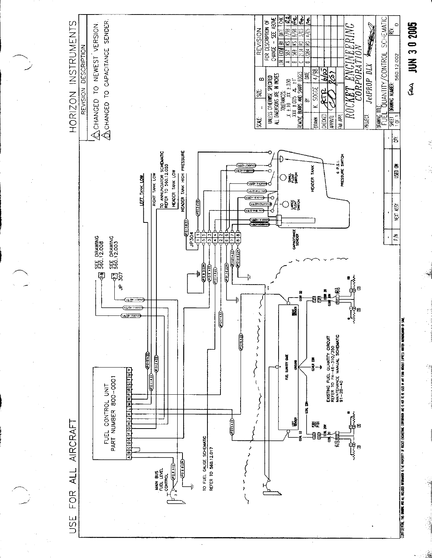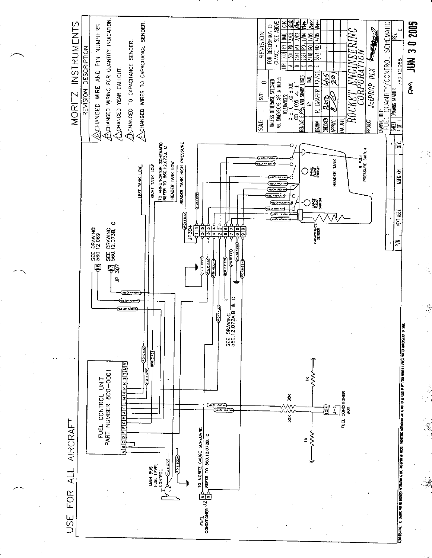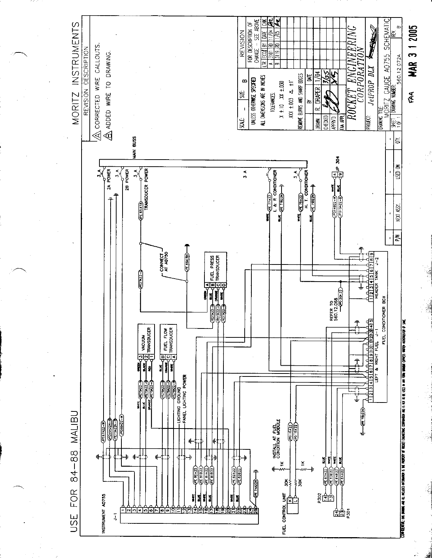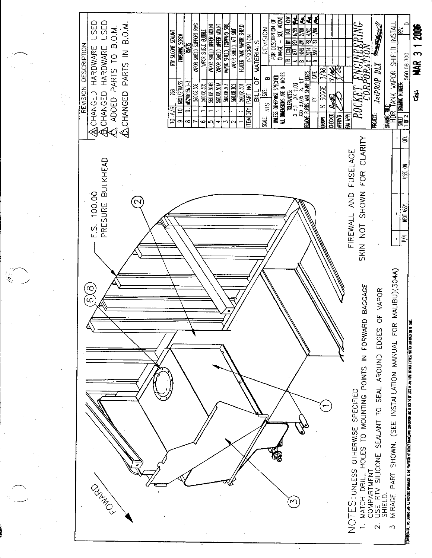